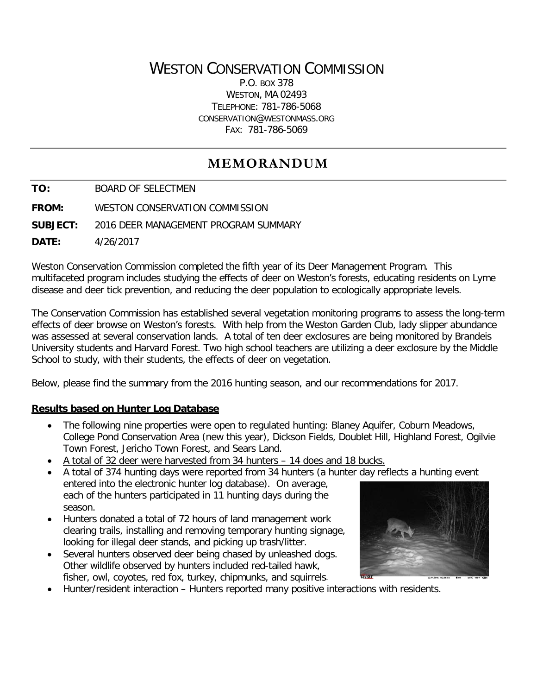## WESTON CONSERVATION COMMISSION

P.O. BOX 378 WESTON, MA 02493 TELEPHONE: 781-786-5068 CONSERVATION@WESTONMASS.ORG FAX: 781-786-5069

# **MEMORANDUM**

**TO:** BOARD OF SELECTMEN

**FROM:** WESTON CONSERVATION COMMISSION

**SUBJECT:** 2016 DEER MANAGEMENT PROGRAM SUMMARY

**DATE:** 4/26/2017

Weston Conservation Commission completed the fifth year of its Deer Management Program. This multifaceted program includes studying the effects of deer on Weston's forests, educating residents on Lyme disease and deer tick prevention, and reducing the deer population to ecologically appropriate levels.

The Conservation Commission has established several vegetation monitoring programs to assess the long-term effects of deer browse on Weston's forests. With help from the Weston Garden Club, lady slipper abundance was assessed at several conservation lands. A total of ten deer exclosures are being monitored by Brandeis University students and Harvard Forest. Two high school teachers are utilizing a deer exclosure by the Middle School to study, with their students, the effects of deer on vegetation.

Below, please find the summary from the 2016 hunting season, and our recommendations for 2017.

### **Results based on Hunter Log Database**

- The following nine properties were open to regulated hunting: Blaney Aquifer, Coburn Meadows, College Pond Conservation Area (new this year), Dickson Fields, Doublet Hill, Highland Forest, Ogilvie Town Forest, Jericho Town Forest, and Sears Land.
- A total of 32 deer were harvested from 34 hunters 14 does and 18 bucks.
- A total of 374 hunting days were reported from 34 hunters (a hunter day reflects a hunting event entered into the electronic hunter log database). On average, each of the hunters participated in 11 hunting days during the season.
- Hunters donated a total of 72 hours of land management work clearing trails, installing and removing temporary hunting signage, looking for illegal deer stands, and picking up trash/litter.
- Several hunters observed deer being chased by unleashed dogs. Other wildlife observed by hunters included red-tailed hawk, fisher, owl, coyotes, red fox, turkey, chipmunks, and squirrels.



• Hunter/resident interaction – Hunters reported many positive interactions with residents.